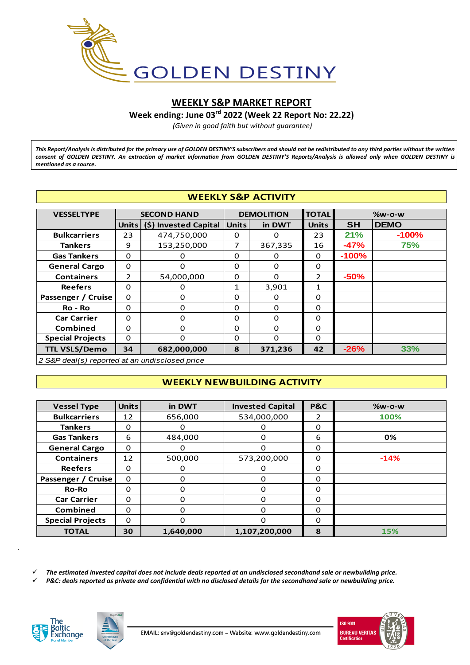

# **WEEKLY S&P MARKET REPORT**

**Week ending: June 03rd 2022 (Week 22 Report No: 22.22)**

*(Given in good faith but without guarantee)*

*This Report/Analysis is distributed for the primary use of GOLDEN DESTINY'S subscribers and should not be redistributed to any third parties without the written consent of GOLDEN DESTINY. An extraction of market information from GOLDEN DESTINY'S Reports/Analysis is allowed only when GOLDEN DESTINY is mentioned as a source.*

| <b>WEEKLY S&amp;P ACTIVITY</b>                                                   |                |                       |              |                   |                |           |             |  |  |  |
|----------------------------------------------------------------------------------|----------------|-----------------------|--------------|-------------------|----------------|-----------|-------------|--|--|--|
| <b>VESSELTYPE</b>                                                                |                | <b>SECOND HAND</b>    |              | <b>DEMOLITION</b> | <b>TOTAL</b>   | $%w-o-w$  |             |  |  |  |
|                                                                                  | <b>Units</b>   | (\$) Invested Capital | <b>Units</b> | in DWT            | <b>Units</b>   | <b>SH</b> | <b>DEMO</b> |  |  |  |
| <b>Bulkcarriers</b>                                                              | 23             | 474,750,000           | 0            | 0                 | 23             | 21%       | $-100%$     |  |  |  |
| <b>Tankers</b>                                                                   | 9              | 153,250,000           | 7            | 367,335           | 16             | $-47%$    | 75%         |  |  |  |
| <b>Gas Tankers</b>                                                               | $\Omega$       | 0                     | $\Omega$     | $\Omega$          | $\Omega$       | $-100%$   |             |  |  |  |
| <b>General Cargo</b>                                                             | $\Omega$       | $\Omega$              | $\Omega$     | $\Omega$          | $\Omega$       |           |             |  |  |  |
| <b>Containers</b>                                                                | $\overline{2}$ | 54,000,000            | 0            | $\Omega$          | $\overline{2}$ | $-50%$    |             |  |  |  |
| <b>Reefers</b>                                                                   | $\Omega$       | 0                     | $\mathbf{1}$ | 3,901             | 1              |           |             |  |  |  |
| Passenger / Cruise                                                               | $\Omega$       | $\Omega$              | $\Omega$     | $\Omega$          | $\Omega$       |           |             |  |  |  |
| Ro - Ro                                                                          | $\Omega$       | $\Omega$              | $\Omega$     | $\Omega$          | $\Omega$       |           |             |  |  |  |
| <b>Car Carrier</b>                                                               | $\Omega$       | 0                     | 0            | $\Omega$          | 0              |           |             |  |  |  |
| <b>Combined</b>                                                                  | $\Omega$       | $\Omega$              | $\Omega$     | $\Omega$          | 0              |           |             |  |  |  |
| <b>Special Projects</b>                                                          | O<br>$\Omega$  |                       | $\Omega$     | $\Omega$          | $\Omega$       |           |             |  |  |  |
| <b>TTL VSLS/Demo</b><br>33%<br>$-26%$<br>682,000,000<br>371,236<br>34<br>8<br>42 |                |                       |              |                   |                |           |             |  |  |  |
| 2 S&P deal(s) reported at an undisclosed price                                   |                |                       |              |                   |                |           |             |  |  |  |

*2 S&P deal(s) reported at an undisclosed price*

## **WEEKLY NEWBUILDING ACTIVITY**

| <b>WEEKLY NEWBUILDING ACTIVITY</b> |              |           |                         |                |          |  |  |  |  |  |
|------------------------------------|--------------|-----------|-------------------------|----------------|----------|--|--|--|--|--|
|                                    |              |           |                         |                |          |  |  |  |  |  |
| <b>Vessel Type</b>                 | <b>Units</b> | in DWT    | <b>Invested Capital</b> | <b>P&amp;C</b> | $%w-o-w$ |  |  |  |  |  |
| <b>Bulkcarriers</b>                | 12           | 656,000   | 534,000,000             | $\mathcal{P}$  | 100%     |  |  |  |  |  |
| <b>Tankers</b>                     | $\Omega$     | 0         | O                       | 0              |          |  |  |  |  |  |
| <b>Gas Tankers</b>                 | 6            | 484,000   | $\Omega$                | 6              | 0%       |  |  |  |  |  |
| <b>General Cargo</b>               | $\Omega$     | $\Omega$  | $\Omega$                | $\Omega$       |          |  |  |  |  |  |
| <b>Containers</b>                  | 12           | 500,000   | 573,200,000             | $\Omega$       | $-14%$   |  |  |  |  |  |
| <b>Reefers</b>                     | $\Omega$     | 0         | $\Omega$                | $\Omega$       |          |  |  |  |  |  |
| Passenger / Cruise                 | $\Omega$     | $\Omega$  | $\Omega$                | $\Omega$       |          |  |  |  |  |  |
| <b>Ro-Ro</b>                       | $\Omega$     | 0         | $\Omega$                | $\Omega$       |          |  |  |  |  |  |
| <b>Car Carrier</b>                 | $\Omega$     | 0         | $\Omega$                | $\Omega$       |          |  |  |  |  |  |
| Combined                           | $\Omega$     | 0         | $\Omega$                | $\Omega$       |          |  |  |  |  |  |
| <b>Special Projects</b>            | 0            | $\Omega$  | $\Omega$                | $\Omega$       |          |  |  |  |  |  |
| <b>TOTAL</b>                       | 30           | 1,640,000 | 1,107,200,000           | 8              | 15%      |  |  |  |  |  |
|                                    |              |           |                         |                |          |  |  |  |  |  |

*The estimated invested capital does not include deals reported at an undisclosed secondhand sale or newbuilding price.*

*P&C: deals reported as private and confidential with no disclosed details for the secondhand sale or newbuilding price.*



*.*



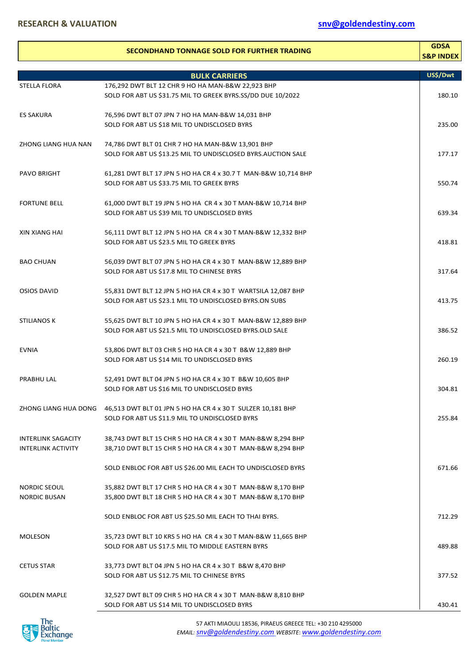|                                            | <b>SECONDHAND TONNAGE SOLD FOR FURTHER TRADING</b>                                                                                 | <b>GDSA</b><br><b>S&amp;P INDEX</b> |
|--------------------------------------------|------------------------------------------------------------------------------------------------------------------------------------|-------------------------------------|
|                                            | <b>BULK CARRIERS</b>                                                                                                               | US\$/Dwt                            |
| <b>STELLA FLORA</b>                        | 176,292 DWT BLT 12 CHR 9 HO HA MAN-B&W 22,923 BHP                                                                                  |                                     |
|                                            | SOLD FOR ABT US \$31.75 MIL TO GREEK BYRS.SS/DD DUE 10/2022                                                                        | 180.10                              |
| <b>ES SAKURA</b>                           | 76,596 DWT BLT 07 JPN 7 HO HA MAN-B&W 14,031 BHP<br>SOLD FOR ABT US \$18 MIL TO UNDISCLOSED BYRS                                   | 235.00                              |
| ZHONG LIANG HUA NAN                        | 74,786 DWT BLT 01 CHR 7 HO HA MAN-B&W 13,901 BHP<br>SOLD FOR ABT US \$13.25 MIL TO UNDISCLOSED BYRS.AUCTION SALE                   | 177.17                              |
| <b>PAVO BRIGHT</b>                         | 61,281 DWT BLT 17 JPN 5 HO HA CR 4 x 30.7 T MAN-B&W 10,714 BHP<br>SOLD FOR ABT US \$33.75 MIL TO GREEK BYRS                        | 550.74                              |
| <b>FORTUNE BELL</b>                        | 61,000 DWT BLT 19 JPN 5 HO HA CR 4 x 30 T MAN-B&W 10,714 BHP<br>SOLD FOR ABT US \$39 MIL TO UNDISCLOSED BYRS                       | 639.34                              |
| <b>XIN XIANG HAI</b>                       | 56,111 DWT BLT 12 JPN 5 HO HA CR 4 x 30 T MAN-B&W 12,332 BHP<br>SOLD FOR ABT US \$23.5 MIL TO GREEK BYRS                           | 418.81                              |
| <b>BAO CHUAN</b>                           | 56,039 DWT BLT 07 JPN 5 HO HA CR 4 x 30 T MAN-B&W 12,889 BHP<br>SOLD FOR ABT US \$17.8 MIL TO CHINESE BYRS                         | 317.64                              |
| <b>OSIOS DAVID</b>                         | 55,831 DWT BLT 12 JPN 5 HO HA CR 4 x 30 T WARTSILA 12,087 BHP<br>SOLD FOR ABT US \$23.1 MIL TO UNDISCLOSED BYRS.ON SUBS            | 413.75                              |
| <b>STILIANOS K</b>                         | 55,625 DWT BLT 10 JPN 5 HO HA CR 4 x 30 T MAN-B&W 12,889 BHP<br>SOLD FOR ABT US \$21.5 MIL TO UNDISCLOSED BYRS.OLD SALE            | 386.52                              |
| <b>EVNIA</b>                               | 53,806 DWT BLT 03 CHR 5 HO HA CR 4 x 30 T B&W 12,889 BHP<br>SOLD FOR ABT US \$14 MIL TO UNDISCLOSED BYRS                           | 260.19                              |
| PRABHU LAL                                 | 52,491 DWT BLT 04 JPN 5 HO HA CR 4 x 30 T B&W 10,605 BHP<br>SOLD FOR ABT US \$16 MIL TO UNDISCLOSED BYRS                           | 304.81                              |
|                                            | ZHONG LIANG HUA DONG 46,513 DWT BLT 01 JPN 5 HO HA CR 4 x 30 T SULZER 10,181 BHP<br>SOLD FOR ABT US \$11.9 MIL TO UNDISCLOSED BYRS | 255.84                              |
| INTERLINK SAGACITY<br>INTERLINK ACTIVITY   | 38,743 DWT BLT 15 CHR 5 HO HA CR 4 x 30 T MAN-B&W 8,294 BHP<br>38,710 DWT BLT 15 CHR 5 HO HA CR 4 x 30 T MAN-B&W 8,294 BHP         |                                     |
|                                            | SOLD ENBLOC FOR ABT US \$26.00 MIL EACH TO UNDISCLOSED BYRS                                                                        | 671.66                              |
| <b>NORDIC SEOUL</b><br><b>NORDIC BUSAN</b> | 35,882 DWT BLT 17 CHR 5 HO HA CR 4 x 30 T MAN-B&W 8,170 BHP<br>35,800 DWT BLT 18 CHR 5 HO HA CR 4 x 30 T MAN-B&W 8,170 BHP         |                                     |
|                                            | SOLD ENBLOC FOR ABT US \$25.50 MIL EACH TO THAI BYRS.                                                                              | 712.29                              |
| <b>MOLESON</b>                             | 35,723 DWT BLT 10 KRS 5 HO HA CR 4 x 30 T MAN-B&W 11,665 BHP<br>SOLD FOR ABT US \$17.5 MIL TO MIDDLE EASTERN BYRS                  | 489.88                              |
| <b>CETUS STAR</b>                          | 33,773 DWT BLT 04 JPN 5 HO HA CR 4 x 30 T B&W 8,470 BHP<br>SOLD FOR ABT US \$12.75 MIL TO CHINESE BYRS                             | 377.52                              |
| <b>GOLDEN MAPLE</b>                        | 32,527 DWT BLT 09 CHR 5 HO HA CR 4 x 30 T MAN-B&W 8,810 BHP<br>SOLD FOR ABT US \$14 MIL TO UNDISCLOSED BYRS                        | 430.41                              |

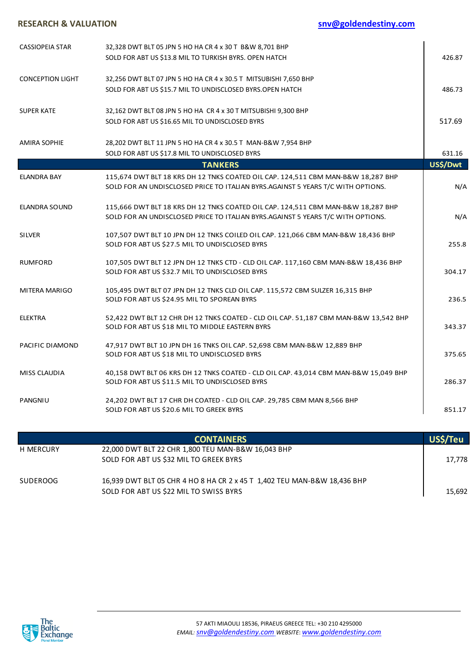| <b>RESEARCH &amp; VALUATION</b> | snv@goldendestiny.com                                                                                                                                               |          |  |  |
|---------------------------------|---------------------------------------------------------------------------------------------------------------------------------------------------------------------|----------|--|--|
| <b>CASSIOPEIA STAR</b>          | 32,328 DWT BLT 05 JPN 5 HO HA CR 4 x 30 T B&W 8,701 BHP<br>SOLD FOR ABT US \$13.8 MIL TO TURKISH BYRS. OPEN HATCH                                                   | 426.87   |  |  |
| <b>CONCEPTION LIGHT</b>         | 32,256 DWT BLT 07 JPN 5 HO HA CR 4 x 30.5 T MITSUBISHI 7,650 BHP<br>SOLD FOR ABT US \$15.7 MIL TO UNDISCLOSED BYRS.OPEN HATCH                                       | 486.73   |  |  |
| <b>SUPER KATE</b>               | 32,162 DWT BLT 08 JPN 5 HO HA CR 4 x 30 T MITSUBISHI 9,300 BHP<br>SOLD FOR ABT US \$16.65 MIL TO UNDISCLOSED BYRS                                                   | 517.69   |  |  |
| <b>AMIRA SOPHIE</b>             | 28,202 DWT BLT 11 JPN 5 HO HA CR 4 x 30.5 T MAN-B&W 7,954 BHP<br>SOLD FOR ABT US \$17.8 MIL TO UNDISCLOSED BYRS                                                     | 631.16   |  |  |
|                                 | <b>TANKERS</b>                                                                                                                                                      | US\$/Dwt |  |  |
| <b>ELANDRA BAY</b>              | 115,674 DWT BLT 18 KRS DH 12 TNKS COATED OIL CAP. 124,511 CBM MAN-B&W 18,287 BHP<br>SOLD FOR AN UNDISCLOSED PRICE TO ITALIAN BYRS.AGAINST 5 YEARS T/C WITH OPTIONS. | N/A      |  |  |
| <b>ELANDRA SOUND</b>            | 115,666 DWT BLT 18 KRS DH 12 TNKS COATED OIL CAP. 124,511 CBM MAN-B&W 18,287 BHP<br>SOLD FOR AN UNDISCLOSED PRICE TO ITALIAN BYRS.AGAINST 5 YEARS T/C WITH OPTIONS. | N/A      |  |  |
| <b>SILVER</b>                   | 107,507 DWT BLT 10 JPN DH 12 TNKS COILED OIL CAP. 121,066 CBM MAN-B&W 18,436 BHP<br>SOLD FOR ABT US \$27.5 MIL TO UNDISCLOSED BYRS                                  | 255.8    |  |  |
| <b>RUMFORD</b>                  | 107,505 DWT BLT 12 JPN DH 12 TNKS CTD - CLD OIL CAP. 117,160 CBM MAN-B&W 18,436 BHP<br>SOLD FOR ABT US \$32.7 MIL TO UNDISCLOSED BYRS                               | 304.17   |  |  |
| <b>MITERA MARIGO</b>            | 105,495 DWT BLT 07 JPN DH 12 TNKS CLD OIL CAP. 115,572 CBM SULZER 16,315 BHP<br>SOLD FOR ABT US \$24.95 MIL TO SPOREAN BYRS                                         | 236.5    |  |  |
| <b>ELEKTRA</b>                  | 52,422 DWT BLT 12 CHR DH 12 TNKS COATED - CLD OIL CAP. 51,187 CBM MAN-B&W 13,542 BHP<br>SOLD FOR ABT US \$18 MIL TO MIDDLE EASTERN BYRS                             | 343.37   |  |  |
| PACIFIC DIAMOND                 | 47,917 DWT BLT 10 JPN DH 16 TNKS OIL CAP. 52,698 CBM MAN-B&W 12,889 BHP<br>SOLD FOR ABT US \$18 MIL TO UNDISCLOSED BYRS                                             | 375.65   |  |  |
| MISS CLAUDIA                    | 40,158 DWT BLT 06 KRS DH 12 TNKS COATED - CLD OIL CAP. 43,014 CBM MAN-B&W 15,049 BHP<br>SOLD FOR ABT US \$11.5 MIL TO UNDISCLOSED BYRS                              | 286.37   |  |  |
| PANGNIU                         | 24,202 DWT BLT 17 CHR DH COATED - CLD OIL CAP. 29,785 CBM MAN 8,566 BHP<br>SOLD FOR ABT US \$20.6 MIL TO GREEK BYRS                                                 | 851.17   |  |  |
|                                 | <b>CONTAINERS</b>                                                                                                                                                   | US\$/Teu |  |  |

|           | <b>CONTAINERS</b>                                                        | US\$/Teu |
|-----------|--------------------------------------------------------------------------|----------|
| H MERCURY | 22,000 DWT BLT 22 CHR 1,800 TEU MAN-B&W 16,043 BHP                       |          |
|           | SOLD FOR ABT US \$32 MIL TO GREEK BYRS                                   | 17,778   |
| SUDEROOG  | 16,939 DWT BLT 05 CHR 4 HO 8 HA CR 2 x 45 T 1,402 TEU MAN-B&W 18,436 BHP |          |
|           | SOLD FOR ABT US \$22 MIL TO SWISS BYRS                                   | 15,692   |

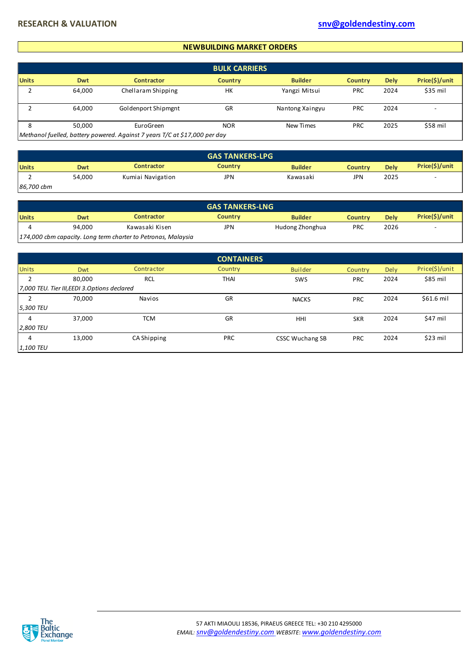#### **NEWBUILDING MARKET ORDERS**

|              |        |                                                                            | <b>BULK CARRIERS</b> |                 |                |             |                |
|--------------|--------|----------------------------------------------------------------------------|----------------------|-----------------|----------------|-------------|----------------|
| <b>Units</b> | Dwt    | <b>Contractor</b>                                                          | <b>Country</b>       | <b>Builder</b>  | <b>Country</b> | <b>Dely</b> | Price(\$)/unit |
|              | 64,000 | Chellaram Shipping                                                         | HK                   | Yangzi Mitsui   | <b>PRC</b>     | 2024        | $$35$ mil      |
|              | 64,000 | Goldenport Shipmgnt                                                        | GR                   | Nantong Xaingyu | <b>PRC</b>     | 2024        |                |
| 8            | 50,000 | EuroGreen                                                                  | <b>NOR</b>           | New Times       | PRC            | 2025        | \$58 mil       |
|              |        | Methanol fuelled, battery powered. Against 7 years T/C at \$17,000 per day |                      |                 |                |             |                |

|              |        |                   | <b>GAS TANKERS-LPG</b> |                |         |             |                |
|--------------|--------|-------------------|------------------------|----------------|---------|-------------|----------------|
| <b>Units</b> | Dwt    | <b>Contractor</b> | <b>Country</b>         | <b>Builder</b> | Countrv | <b>Delv</b> | Price(\$)/unit |
|              | 54,000 | Kumiai Navigation | JPN                    | Kawasaki       | JPN     | 2025        | -              |
| 86,700 cbm   |        |                   |                        |                |         |             |                |

|              | <b>GAS TANKERS-LNG</b> |                                                               |                |                 |            |             |                |  |  |  |
|--------------|------------------------|---------------------------------------------------------------|----------------|-----------------|------------|-------------|----------------|--|--|--|
| <b>Units</b> | Dwt                    | <b>Contractor</b>                                             | <b>Country</b> | <b>Builder</b>  | Countrv    | <b>Delv</b> | Price(\$)/unit |  |  |  |
|              | 94,000                 | Kawasaki Kisen                                                | JPN            | Hudong Zhonghua | <b>PRC</b> | 2026        |                |  |  |  |
|              |                        | 174,000 cbm capacity. Long term charter to Petronas, Malaysia |                |                 |            |             |                |  |  |  |

|              |                                              |             | <b>CONTAINERS</b> |                        |            |      |                |
|--------------|----------------------------------------------|-------------|-------------------|------------------------|------------|------|----------------|
| <b>Units</b> | Dwt                                          | Contractor  | Country           | <b>Builder</b>         | Country    | Dely | Price(\$)/unit |
|              | 80,000                                       | <b>RCL</b>  | <b>THAI</b>       | SWS                    | <b>PRC</b> | 2024 | \$85 mil       |
|              | 7,000 TEU. Tier III, EEDI 3.Options declared |             |                   |                        |            |      |                |
|              | 70,000                                       | Navios      | GR                | <b>NACKS</b>           | <b>PRC</b> | 2024 | $$61.6$ mil    |
| 5,300 TEU    |                                              |             |                   |                        |            |      |                |
| 4            | 37,000                                       | <b>TCM</b>  | GR                | HHI                    | <b>SKR</b> | 2024 | \$47 mil       |
| 2,800 TEU    |                                              |             |                   |                        |            |      |                |
| 4            | 13,000                                       | CA Shipping | <b>PRC</b>        | <b>CSSC Wuchang SB</b> | <b>PRC</b> | 2024 | $$23$ mil      |
| 1,100 TEU    |                                              |             |                   |                        |            |      |                |

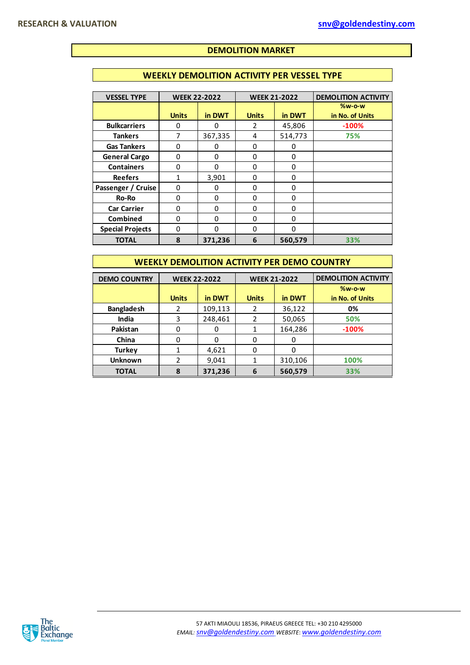## **DEMOLITION MARKET**

#### **WEEKLY DEMOLITION ACTIVITY PER VESSEL TYPE**

| <b>VESSEL TYPE</b>      | <b>WEEK 22-2022</b> |          | <b>WEEK 21-2022</b> |          | <b>DEMOLITION ACTIVITY</b>  |
|-------------------------|---------------------|----------|---------------------|----------|-----------------------------|
|                         | <b>Units</b>        | in DWT   | <b>Units</b>        | in DWT   | $%w-o-w$<br>in No. of Units |
| <b>Bulkcarriers</b>     | O                   | U        | 2                   | 45,806   | $-100%$                     |
| <b>Tankers</b>          | 7                   | 367,335  | 4                   | 514,773  | 75%                         |
| <b>Gas Tankers</b>      | 0                   | 0        | 0                   | 0        |                             |
| <b>General Cargo</b>    | 0                   | $\Omega$ | 0                   | $\Omega$ |                             |
| <b>Containers</b>       | 0                   | $\Omega$ | 0                   | $\Omega$ |                             |
| <b>Reefers</b>          |                     | 3,901    | 0                   | $\Omega$ |                             |
| Passenger / Cruise      | 0                   | 0        | 0                   | 0        |                             |
| Ro-Ro                   | 0                   | $\Omega$ | 0                   | $\Omega$ |                             |
| <b>Car Carrier</b>      | 0                   | 0        | 0                   | $\Omega$ |                             |
| <b>Combined</b>         | 0                   | $\Omega$ | 0                   | $\Omega$ |                             |
| <b>Special Projects</b> | 0                   | O        | 0                   | $\Omega$ |                             |
| <b>TOTAL</b>            | 8                   | 371,236  | 6                   | 560,579  | 33%                         |

#### **WEEKLY DEMOLITION ACTIVITY PER DEMO COUNTRY**

| <b>DEMO COUNTRY</b> | <b>WEEK 22-2022</b> |         |              | <b>WEEK 21-2022</b> | <b>DEMOLITION ACTIVITY</b> |
|---------------------|---------------------|---------|--------------|---------------------|----------------------------|
|                     |                     |         |              |                     | $%w-o-w$                   |
|                     | <b>Units</b>        | in DWT  | <b>Units</b> | in DWT              | in No. of Units            |
| <b>Bangladesh</b>   | 2                   | 109,113 | 2            | 36,122              | 0%                         |
| India               | 3                   | 248,461 | 2            | 50,065              | 50%                        |
| Pakistan            |                     |         |              | 164,286             | $-100%$                    |
| China               |                     |         |              | 0                   |                            |
| <b>Turkey</b>       |                     | 4,621   | 0            | 0                   |                            |
| <b>Unknown</b>      |                     | 9,041   |              | 310,106             | 100%                       |
| <b>TOTAL</b>        | 8                   | 371,236 | 6            | 560,579             | 33%                        |

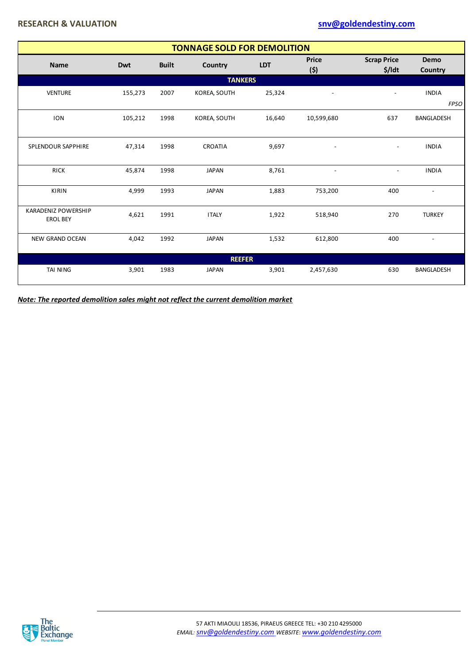|                                        | <b>TONNAGE SOLD FOR DEMOLITION</b> |              |                |            |                          |                              |                          |  |  |
|----------------------------------------|------------------------------------|--------------|----------------|------------|--------------------------|------------------------------|--------------------------|--|--|
| <b>Name</b>                            | Dwt                                | <b>Built</b> | Country        | <b>LDT</b> | <b>Price</b><br>(5)      | <b>Scrap Price</b><br>\$/ldt | Demo<br>Country          |  |  |
|                                        |                                    |              | <b>TANKERS</b> |            |                          |                              |                          |  |  |
| <b>VENTURE</b>                         | 155,273                            | 2007         | KOREA, SOUTH   | 25,324     | $\overline{\phantom{a}}$ | $\overline{a}$               | <b>INDIA</b>             |  |  |
|                                        |                                    |              |                |            |                          |                              | <b>FPSO</b>              |  |  |
| <b>ION</b>                             | 105,212                            | 1998         | KOREA, SOUTH   | 16,640     | 10,599,680               | 637                          | <b>BANGLADESH</b>        |  |  |
| SPLENDOUR SAPPHIRE                     | 47,314                             | 1998         | <b>CROATIA</b> | 9,697      |                          | $\overline{\phantom{a}}$     | <b>INDIA</b>             |  |  |
| <b>RICK</b>                            | 45,874                             | 1998         | <b>JAPAN</b>   | 8,761      | $\overline{\phantom{a}}$ | $\overline{\phantom{a}}$     | <b>INDIA</b>             |  |  |
| <b>KIRIN</b>                           | 4,999                              | 1993         | <b>JAPAN</b>   | 1,883      | 753,200                  | 400                          | $\overline{\phantom{a}}$ |  |  |
| KARADENIZ POWERSHIP<br><b>EROL BEY</b> | 4,621                              | 1991         | <b>ITALY</b>   | 1,922      | 518,940                  | 270                          | <b>TURKEY</b>            |  |  |
| <b>NEW GRAND OCEAN</b>                 | 4,042                              | 1992         | <b>JAPAN</b>   | 1,532      | 612,800                  | 400                          | $\overline{\phantom{a}}$ |  |  |
|                                        |                                    |              | <b>REEFER</b>  |            |                          |                              |                          |  |  |
| TAI NING                               | 3,901                              | 1983         | <b>JAPAN</b>   | 3,901      | 2,457,630                | 630                          | <b>BANGLADESH</b>        |  |  |

*Note: The reported demolition sales might not reflect the current demolition market*